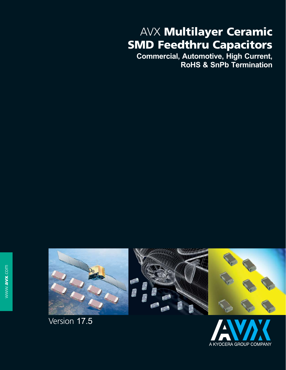# AVX **Multilayer Ceramic SMD Feedthru Capacitors**

**Commercial, Automotive, High Current, RoHS & SnPb Termination**





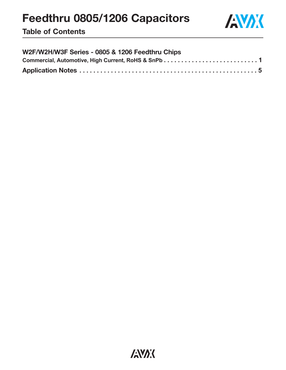

**Table of Contents**

| W2F/W2H/W3F Series - 0805 & 1206 Feedthru Chips |  |
|-------------------------------------------------|--|
|                                                 |  |
|                                                 |  |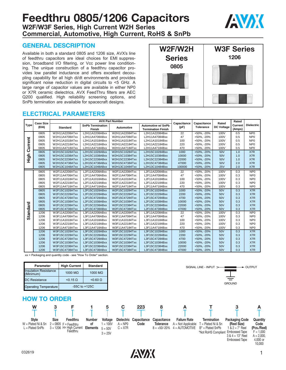## **Feedthru 0805/1206 Capacitors W2F/W3F Series, High Current W2H Series Commercial, Automotive, High Current, RoHS & SnPb**



#### **GENERAL DESCRIPTION**

Available in both a standard 0805 and 1206 size, AVX's line of feedthru capacitors are ideal choices for EMI suppression, broadband I/O filtering, or Vcc power line conditioning. The unique construction of a feedthru capacitor provides low parallel inductance and offers excellent decoupling capability for all high di/dt environments and provides significant noise reduction in digital circuits to <5 GHz. A large range of capacitor values are available in either NP0 or X7R ceramic dielectrics. AVX FeedThru filters are AEC Q200 qualified. High reliability screening options, and SnPb termination are available for spacecraft designs.



#### **ELECTRICAL PARAMETERS**

|                 | <b>Case Size</b> |                 | <b>AVX Part Number</b>            | Capacitance    | Capacitance                                            | Rated  | Rated            |                   |                   |                   |
|-----------------|------------------|-----------------|-----------------------------------|----------------|--------------------------------------------------------|--------|------------------|-------------------|-------------------|-------------------|
| <b>Type</b>     | (EIA)            | <b>Standard</b> | <b>SnPb Termination</b><br>Finish | Automotive     | <b>Automotive w/ SnPb</b><br><b>Termination Finish</b> | (pF)   | <b>Tolerance</b> | <b>DC Voltage</b> | Current<br>(Amps) | <b>Dielectric</b> |
|                 | 0805             | W2H11A2208ATxx  | L2H11A2208ABxx                    | W2H11A22084Txx | L2H11A22084Bxx                                         | 22     | +50%, -20%       | 100V              | 0.5               | NP <sub>0</sub>   |
|                 | 0805             | W2H11A4708ATxx  | L2H11A4708ABxx                    | W2H11A47084Txx | L2H11A47084Bxx                                         | 47     | +50%, -20%       | 100V              | 0.5               | NP <sub>0</sub>   |
|                 | 0805             | W2H11A1018ATxx  | L2H11A1018ABxx                    | W2H11A10184Txx | L2H11A10184Bxx                                         | 100    | +50%, -20%       | 100V              | 0.5               | NP <sub>0</sub>   |
| urrent          | 0805             | W2H11A2218ATxx  | L2H11A2218ABxx                    | W2H11A22184Txx | L2H11A22184Bxx                                         | 220    | +50%, -20%       | 100V              | 0.5               | NP <sub>0</sub>   |
|                 | 0805             | W2H11A4718ATxx  | L2H11A4718ABxx                    | W2H11A47184Txx | L2H11A47184Bxx                                         | 470    | +50%, -20%       | 100V              | 0.5               | NP <sub>0</sub>   |
| ပ               | 0805             | W2H15C1028ATxx  | L2H15C1028ABxx                    | W2H15C10284Txx | L2H15C10284Bxx                                         | 1000   | +50%, -20%       | 50V               | 1.0               | X7R               |
| 음<br>도          | 0805             | W2H15C1038ATxx  | L2H15C1038ABxx                    | W2H15C10384Txx | L2H15C10384Bxx                                         | 10000  | +50%, -20%       | 50V               | 1.0               | X7R               |
|                 | 0805             | W2H15C2238ATxx  | L2H15C2238ABxx                    | W2H15C22384Txx | L2H15C22384Bxx                                         | 22000  | +50%, -20%       | 50V               | 1.0               | X7R               |
|                 | 0805             | W2H15C4738ATxx  | L2H15C4738ABxx                    | W2H15C47384Txx | L2H15C47384Bxx                                         | 47000  | +50%, -20%       | 50V               | 2.0               | X7R               |
|                 | 0805             | W2H13C1048ATxx  | L2H13C1048ABxx                    | W2H13C10484Txx | L2H13C10484Bxx                                         | 100000 | +50%, -20%       | 25V               | 2.0               | X7R               |
|                 | 0805             | W2F11A2208ATxx  | L2F11A2208ABxx                    | W2F11A22084Txx | L2F11A22084Bxx                                         | 22     | +50%, -20%       | 100V              | 0.3               | NP <sub>0</sub>   |
|                 | 0805             | W2F11A4708ATxx  | L2F11A4708ABxx                    | W2F11A47084Txx | L2F11A47084Bxx                                         | 47     | +50%, -20%       | 100V              | 0.3               | NP <sub>0</sub>   |
|                 | 0805             | W2F11A1018ATxx  | L2F11A1018ABxx                    | W2F11A10184Txx | L2F11A10184Bxx                                         | 100    | +50%. -20%       | 100V              | 0.3               | NP <sub>0</sub>   |
|                 | 0805             | W2F11A2218ATxx  | L2F11A2218ABxx                    | W2F11A22184Txx | L2F11A22184Bxx                                         | 220    | +50%, -20%       | 100V              | 0.3               | NP <sub>0</sub>   |
|                 | 0805             | W2F11A4718ATxx  | L2F11A4718ABxx                    | W2F11A47184Txx | L2F11A47184Bxx                                         | 470    | +50%, -20%       | 100V              | 0.3               | NP <sub>0</sub>   |
|                 | 0805             | W2F15C1028ATxx  | L2F15C1028ABxx                    | W2F15C10284Txx | L2F15C10284Bxx                                         | 1000   | +50%. -20%       | 50V               | 0.3               | X7R               |
|                 | 0805             | W2F15C2228ATxx  | L2F15C2228ABxx                    | W2F15C22284Txx | L2F15C22284Bxx                                         | 2200   | +50%, -20%       | 50V               | 0.3               | X7R               |
|                 | 0805             | W2F15C4728ATxx  | L2F15C4728ABxx                    | W2F15C47284Txx | L2F15C47284Bxx                                         | 4700   | +50%, -20%       | 50V               | 0.3               | X7R               |
|                 | 0805             | W2F15C1038ATxx  | L2F15C1038ABxx                    | W2F15C10384Txx | L2F15C10384Bxx                                         | 10000  | +50%, -20%       | 50V               | 0.3               | X7R               |
|                 | 0805             | W2F15C2238ATxx  | L2F15C2238ABxx                    | W2F15C22384Txx | L2F15C22384Bxx                                         | 22000  | +50%, -20%       | 50V               | 0.3               | X7R               |
|                 | 0805             | W2F15C4738ATxx  | L2F15C4738ABxx                    | W2F15C47384Txx | L2F15C47384Bxx                                         | 47000  | +50%. -20%       | 50V               | 0.3               | X7R               |
| <b>Standard</b> | 1206             | W3F11A2208ATxx  | L3F11A2208ABxx                    | W3F11A22084Txx | L3F11A22084Bxx                                         | 22     | +50%, -20%       | 100V              | 0.3               | NP <sub>0</sub>   |
|                 | 1206             | W3F11A4708ATxx  | L3F11A4708ABxx                    | W3F11A47084Txx | L3F11A47084Bxx                                         | 47     | +50%, -20%       | 100V              | 0.3               | NP <sub>0</sub>   |
|                 | 1206             | W3F11A1018ATxx  | L3F11A1018ABxx                    | W3F11A10184Txx | L3F11A10184Bxx                                         | 100    | +50%, -20%       | 100V              | 0.3               | NP <sub>0</sub>   |
|                 | 1206             | W3F11A2218ATxx  | L3F11A2218ABxx                    | W3F11A22184Txx | L3F11A22184Bxx                                         | 220    | +50%, -20%       | 100V              | 0.3               | NP <sub>0</sub>   |
|                 | 1206             | W3F11A4718ATxx  | L3F11A4718ABxx                    | W3F11A47184Txx | L3F11A47184Bxx                                         | 470    | +50%, -20%       | 100V              | 0.3               | NP <sub>0</sub>   |
|                 | 1206             | W3F15C1028ATxx  | L3F15C1028ABxx                    | W3F15C10284Txx | L3F15C10284Bxx                                         | 1000   | +50%. -20%       | 50V               | 0.3               | X7R               |
|                 | 1206             | W3F15C2228ATxx  | L3F15C2228ABxx                    | W3F15C22284Txx | L3F15C22284Bxx                                         | 2200   | +50%, -20%       | 50V               | 0.3               | X7R               |
|                 | 1206             | W3F15C4728ATxx  | L3F15C4728ABxx                    | W3F15C47284Txx | L3F15C47284Bxx                                         | 4700   | +50%. -20%       | 50V               | 0.3               | X7R               |
|                 | 1206             | W3F15C1038ATxx  | L3F15C1038ABxx                    | W3F15C10384Txx | L3F15C10384Bxx                                         | 10000  | +50%. -20%       | 50V               | 0.3               | X7R               |
|                 | 1206             | W3F15C2238ATxx  | L3F15C2238ABxx                    | W3F15C22384Txx | L3F15C22384Bxx                                         | 22000  | +50%, -20%       | 50V               | 0.3               | X7R               |
|                 | 1206             | W3F15C4738ATxx  | L3F15C4738ABxx                    | W3F15C47384Txx | L3F15C47384Bxx                                         | 47000  | +50%, -20%       | 50V               | 0.3               | X7R               |

xx = Packaging and quantity code - see "How To Order" section.

| Parameter                                 |      | <b>High Current</b>                             | <b>Standard</b>     |                        |           |                                |                                 |                                             | SIGNAL LINE - INPUT $>$                    | ,                                                                | <b>OUTPUT</b>                            |
|-------------------------------------------|------|-------------------------------------------------|---------------------|------------------------|-----------|--------------------------------|---------------------------------|---------------------------------------------|--------------------------------------------|------------------------------------------------------------------|------------------------------------------|
| <b>Insulation Resistance</b><br>(Minimum) |      | 1000 $M\Omega$                                  | 1000 $M\Omega$      |                        |           |                                |                                 |                                             |                                            |                                                                  |                                          |
| <b>DC Resistance</b>                      |      | $< 0.15 \Omega$                                 | $< 0.60 \Omega$     |                        |           |                                |                                 |                                             |                                            |                                                                  |                                          |
| <b>Operating Temperature</b>              |      | -55C to $+125C$                                 |                     |                        |           |                                |                                 |                                             |                                            | <b>GROUND</b>                                                    |                                          |
| <b>HOW TO ORDER</b><br>W                  | 3    |                                                 |                     | 5                      | С         | 223                            | 8                               | A                                           |                                            |                                                                  | А                                        |
|                                           |      |                                                 |                     |                        |           |                                |                                 |                                             |                                            |                                                                  |                                          |
| <b>Style</b><br>$W =$ Plated Ni & Sn      | Size | Feedthru<br>$2 = 0805$ F = Feedhtru             | <b>Number</b><br>οf | Voltage<br>$= 100V$    | $A = NP0$ | Dielectric Capacitance<br>Code | Capacitance<br><b>Tolerance</b> | <b>Failure Rate</b><br>$A = Not Applicable$ | <b>Termination</b><br>$T =$ Plated Ni & Sn | <b>Packaging Code</b><br>(Reel Size)                             | Quantity<br>Code                         |
| $L =$ Plated SnPb                         |      | $3 = 1206$ H= High Current Elements<br>Feedthru |                     | $5 = 50V$<br>$3 = 25V$ | $C = X7R$ |                                | $8 = +50/-20%$                  | $4 =$ AUTOMOTIVE                            | $B^*$ = Plated SnPb<br>*Not RoHS Compliant | $1 & 2 = 7"$ Reel<br><b>Embossed Tape</b><br>$3.8.4 = 13$ " Reel | (Pcs./Reel)<br>$F = 1,000$<br>$A = 2000$ |

**ANAK** 



4,000 or

Embossed Tape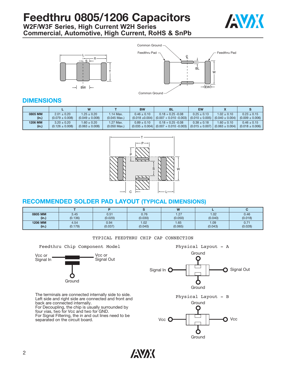**W2F/W3F Series, High Current W2H Series Commercial, Automotive, High Current, RoHS & SnPb**







#### **DIMENSIONS**

|         |                     | W                   |                | <b>BW</b>       | <b>BL</b>                                                         | <b>EW</b>           |                     |                     |
|---------|---------------------|---------------------|----------------|-----------------|-------------------------------------------------------------------|---------------------|---------------------|---------------------|
| 0805 MM | $2.01 \pm 0.20$     | $1.25 \pm 0.20$     | 1.14 Max.      | $0.46 \pm 0.10$ | $0.18 + 0.25 - 0.08$                                              | $0.25 \pm 0.13$     | $1.02 \pm 0.10$     | $0.23 \pm 0.15$     |
| (in.)   | $(0.079 \pm 0.008)$ | $(0.049 \pm 0.008)$ | $(0.045$ Max.) |                 | $(0.018 \pm 0.004)$ $(0.007 + 0.010 - 0.003)$                     | $(0.010 \pm 0.005)$ | $(0.040 \pm 0.004)$ | $(0.009 \pm 0.006)$ |
| 1206 MM | $3.20 \pm 0.20$     | $1.60 \pm 0.20$     | 1.27 Max.      | $0.89 \pm 0.10$ | $0.18 + 0.25 - 0.08$                                              | $0.38 \pm 0.18$     | $1.60 \pm 0.10$     | $0.46 \pm 0.15$     |
| (in.)   | $(0.126 \pm 0.008)$ | $(0.063 \pm 0.008)$ | $(0.050$ Max.) |                 | $(0.035 \pm 0.004)$ $(0.007 + 0.010 - 0.003)$ $(0.015 \pm 0.007)$ |                     | $(0.063 \pm 0.004)$ | $(0.018 \pm 0.006)$ |



### **RECOMMENDED SOLDER PAD LAYOUT (TYPICAL DIMENSIONS)**

|         |         |         |         | W       |         |         |
|---------|---------|---------|---------|---------|---------|---------|
| 0805 MM | 3.45    | 0.51    | 0.76    | 1.27    | 1.02    | 0.46    |
| (in.)   | (0.136) | (0.020) | (0.030) | (0.050) | (0.040) | (0.018) |
| 1206 MM | 4.54    | 0.94    | 1.02    | 1.65    | 1.09    | 0.71    |
| (in.)   | (0.179) | (0.037) | (0.040) | (0.065) | (0.043) | (0.028) |

#### TYPICAL FEEDTHRU CHIP CAP CONNECTION





The terminals are connected internally side to side. Left side and right side are connected and front and back are connected internally. For Decoupling, the chip is usually surrounded by

four vias, two for Vcc and two for GND. For Signal Filtering, the in and out lines need to be separated on the circuit board.



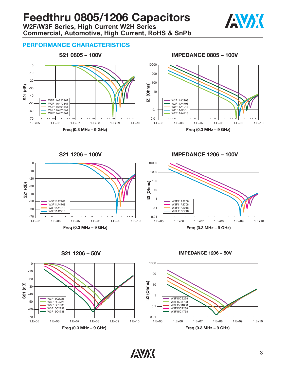### **Feedthru 0805/1206 Capacitors W2F/W3F Series, High Current W2H Series Commercial, Automotive, High Current, RoHS & SnPb**



#### **PERFORMANCE CHARACTERISTICS**



**S21 0805 – 100V IMPEDANCE 0805 – 100V**





**S21 1206 – 100V IMPEDANCE 1206 – 100V**





**S21 1206 – 50V IMPEDANCE 1206 – 50V**



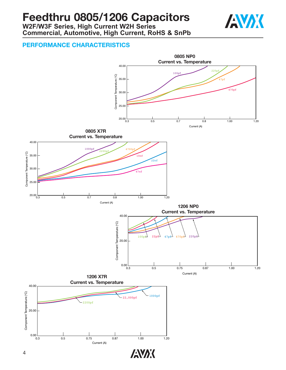**W2F/W3F Series, High Current W2H Series Commercial, Automotive, High Current, RoHS & SnPb**



### **PERFORMANCE CHARACTERISTICS**

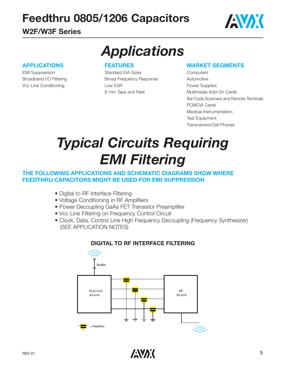## **W2F/W3F Series**



#### **APPLICATIONS**

EMI Suppression Broadband I/O Filtering Vcc Line Conditioning

# *Applications*

#### **FEATURES**

Standard EIA Sizes Broad Frequency Response Low ESR 8 mm Tape and Reel

#### **MARKET SEGMENTS**

**Computers** Automotive Power Supplies Multimedia Add-On Cards Bar Code Scanners and Remote Terminals PCMCIA Cards Medical Instrumentation Test Equipment Transceivers/Cell Phones

# *Typical Circuits Requiring EMI Filtering*

#### **THE FOLLOWING APPLICATIONS AND SCHEMATIC DIAGRAMS SHOW WHERE FEEDTHRU CAPACITORS MIGHT BE USED FOR EMI SUPPRESSION**

- Digital to RF Interface Filtering
- Voltage Conditioning in RF Amplifiers
- Power Decoupling GaAs FET Transistor Preamplifier
- Vcc Line Filtering on Frequency Control Circuit
- Clock, Data, Control Line High Frequency Decoupling (Frequency Synthesizer) (SEE APPLICATION NOTES)



#### **DIGITAL TO RF INTERFACE FILTERING**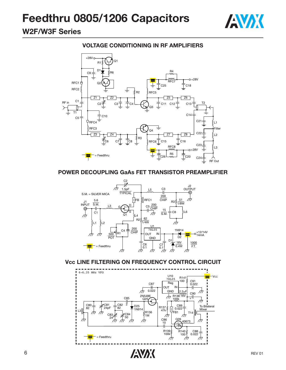

### **W2F/W3F Series**

#### **VOLTAGE CONDITIONING IN RF AMPLIFIERS**



#### **POWER DECOUPLING GaAs FET TRANSISTOR PREAMPLIFIER**



#### **Vcc LINE FILTERING ON FREQUENCY CONTROL CIRCUIT**

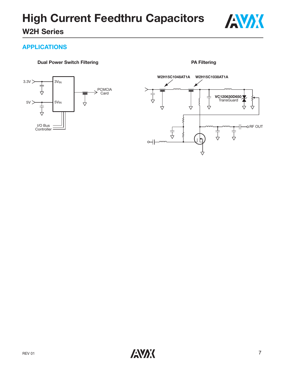

### **APPLICATIONS**

#### **Dual Power Switch Filtering**





**PA Filtering**

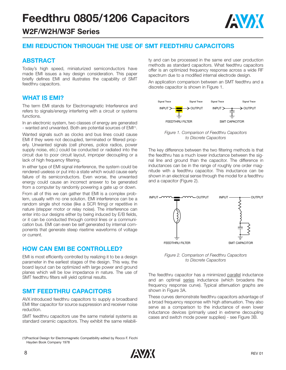

### **W2F/W2H/W3F Series**

#### **EMI REDUCTION THROUGH THE USE OF SMT FEEDTHRU CAPACITORS**

#### **ABSTRACT**

Today's high speed, miniaturized semiconductors have made EMI issues a key design consideration. This paper briefly defines EMI and illustrates the capability of SMT feedthru capacitors.

#### **WHAT IS EMI?**

The term EMI stands for Electromagnetic Interference and refers to signals/energy interfering with a circuit or systems functions.

In an electronic system, two classes of energy are generated - wanted and unwanted. Both are potential sources of EMI<sup>(1)</sup>.

Wanted signals such as clocks and bus lines could cause EMI if they were not decoupled, terminated or filtered properly. Unwanted signals (cell phones, police radios, power supply noise, etc.) could be conducted or radiated into the circuit due to poor circuit layout, improper decoupling or a lack of high frequency filtering.

In either type of EMI signal interference, the system could be rendered useless or put into a state which would cause early failure of its semiconductors. Even worse, the unwanted energy could cause an incorrect answer to be generated from a computer by randomly powering a gate up or down.

From all of this we can gather that EMI is a complex problem, usually with no one solution. EMI interference can be a random single shot noise (like a SCR firing) or repetitive in nature (stepper motor or relay noise). The interference can enter into our designs either by being induced by E/B fields, or it can be conducted through control lines or a communication bus. EMI can even be self generated by internal components that generate steep risetime waveforms of voltage or current.

#### **HOW CAN EMI BE CONTROLLED?**

EMI is most efficiently controlled by realizing it to be a design parameter in the earliest stages of the design. This way, the board layout can be optimized with large power and ground planes which will be low impedance in nature. The use of SMT feedthru filters will yield optimal results.

#### **SMT FEEDTHRU CAPACITORS**

AVX introduced feedthru capacitors to supply a broadband EMI filter capacitor for source suppression and receiver noise reduction.

SMT feedthru capacitors use the same material systems as standard ceramic capacitors. They exhibit the same reliabili-

(1)Practical Design for Electromagnetic Compatibility edited by Rocco F. Ficchi Hayden Book Company 1978

ty and can be processed in the same end user production methods as standard capacitors. What feedthru capacitors offer is an optimized frequency response across a wide RF spectrum due to a modified internal electrode design.

An application comparison between an SMT feedthru and a discrete capacitor is shown in Figure 1.



*Figure 1. Comparison of Feedthru Capacitors to Discrete Capacitors*

The key difference between the two filtering methods is that the feedthru has a much lower inductance between the signal line and ground than the capacitor. The difference in inductances can be in the range of roughly one order magnitude with a feedthru capacitor. This inductance can be shown in an electrical sense through the model for a feedthru and a capacitor (Figure 2).



*Figure 2. Comparison of Feedthru Capacitors to Discrete Capacitors*

The feedthru capacitor has a minimized parallel inductance and an optimal series inductance (which broadens the frequency response curve). Typical attenuation graphs are shown in Figure 3A.

These curves demonstrate feedthru capacitors advantage of a broad frequency response with high attenuation. They also serve as a comparison to the inductance of even lower inductance devices (primarily used in extreme decoupling cases and switch mode power supplies) - see Figure 3B.

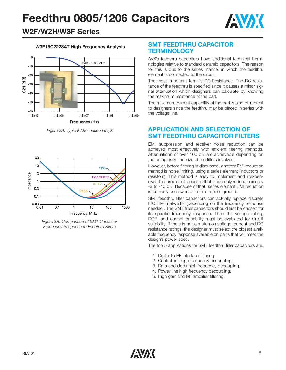

### **W2F/W2H/W3F Series**

#### **W3F15C2228AT High Frequency Analysis**



*Figure 3A. Typical Attenuation Graph*



*Figure 3B. Comparison of SMT Capacitor Frequency Response to Feedthru Filters*

#### **SMT FEEDTHRU CAPACITOR TERMINOLOGY**

AVX's feedthru capacitors have additional technical terminologies relative to standard ceramic capacitors. The reason for this is due to the series manner in which the feedthru element is connected to the circuit.

The most important term is DC Resistance. The DC resistance of the feedthru is specified since it causes a minor signal attenuation which designers can calculate by knowing the maximum resistance of the part.

The maximum current capability of the part is also of interest to designers since the feedthru may be placed in series with the voltage line.

#### **APPLICATION AND SELECTION OF SMT FEEDTHRU CAPACITOR FILTERS**

EMI suppression and receiver noise reduction can be achieved most effectively with efficient filtering methods. Attenuations of over 100 dB are achievable depending on the complexity and size of the filters involved.

However, before filtering is discussed, another EMI reduction method is noise limiting, using a series element (inductors or resistors). This method is easy to implement and inexpensive. The problem it poses is that it can only reduce noise by -3 to -10 dB. Because of that, series element EMI reduction is primarily used where there is a poor ground.

SMT feedthru filter capacitors can actually replace discrete L/C filter networks (depending on the frequency response needed). The SMT filter capacitors should first be chosen for its specific frequency response. Then the voltage rating, DCR, and current capability must be evaluated for circuit suitability. If there is not a match on voltage, current and DC resistance ratings, the designer must select the closest available frequency response available on parts that will meet the design's power spec.

The top 5 applications for SMT feedthru filter capacitors are:

- 1. Digital to RF interface filtering.
- 2. Control line high frequency decoupling.
- 3. Data and clock high frequency decoupling.
- 4. Power line high frequency decoupling.
- 5. High gain and RF amplifier filtering.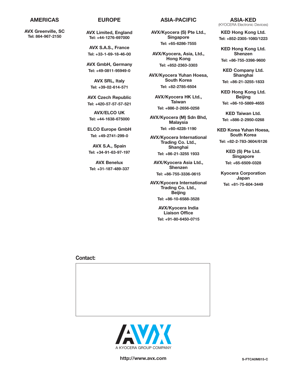**AVX Greenville, SC Tel: 864-967-2150**

**AVX Limited, England Tel: +44-1276-697000**

**AVX S.A.S., France Tel: +33-1-69-18-46-00**

**AVX GmbH, Germany Tel: +49-0811-95949-0**

**AVX SRL, Italy Tel: +39-02-614-571**

**AVX Czech Republic Tel: +420-57-57-57-521**

**AVX/ELCO UK Tel: +44-1638-675000**

**ELCO Europe GmbH Tel: +49-2741-299-0**

**AVX S.A., Spain Tel: +34-91-63-97-197**

**AVX Benelux Tel: +31-187-489-337**

#### **AMERICAS EUROPE ASIA-PACIFIC**

**AVX/Kyocera (S) Pte Ltd., Singapore Tel: +65-6286-7555**

**AVX/Kyocera, Asia, Ltd., Hong Kong Tel: +852-2363-3303**

**AVX/Kyocera Yuhan Hoesa, South Korea Tel: +82-2785-6504**

**AVX/Kyocera HK Ltd., Taiwan Tel: +886-2-2656-0258**

**AVX/Kyocera (M) Sdn Bhd, Malaysia Tel: +60-4228-1190**

**AVX/Kyocera International Trading Co. Ltd., Shanghai Tel: +86-21-3255 1933**

**AVX/Kyocera Asia Ltd., Shenzen Tel: +86-755-3336-0615**

**AVX/Kyocera International Trading Co. Ltd., Beijing Tel: +86-10-6588-3528**

> **AVX/Kyocera India Liaison Office Tel: +91-80-6450-0715**

**ASIA-KED** (KYOCERA Electronic Devices)

**KED Hong Kong Ltd. Tel: +852-2305-1080/1223**

**KED Hong Kong Ltd. Shenzen Tel: +86-755-3398-9600**

**KED Company Ltd. Shanghai Tel: +86-21-3255-1833**

**KED Hong Kong Ltd. Beijing Tel: +86-10-5869-4655**

**KED Taiwan Ltd. Tel: +886-2-2950-0268**

**KED Korea Yuhan Hoesa, South Korea Tel: +82-2-783-3604/6126**

> **KED (S) Pte Ltd. Singapore Tel: +65-6509-0328**

**Kyocera Corporation Japan Tel: +81-75-604-3449**

#### **Contact:**